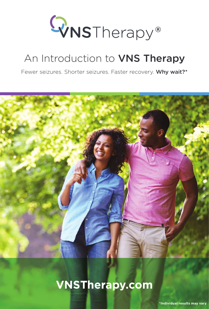

## An Introduction to VNS Therapy

Fewer seizures. Shorter seizures. Faster recovery. Why wait?\*



## **VNSTherapy.com**

**\*Individual results may vary**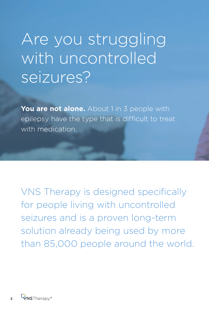## Are you struggling with uncontrolled seizures?

**You are not alone.** About 1 in 3 people with epilepsy have the type that is difficult to treat with medication.

VNS Therapy is designed specifically for people living with uncontrolled seizures and is a proven long-term solution already being used by more than 85,000 people around the world.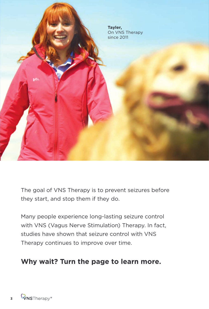

The goal of VNS Therapy is to prevent seizures before they start, and stop them if they do.

Many people experience long-lasting seizure control with VNS (Vagus Nerve Stimulation) Therapy. In fact, studies have shown that seizure control with VNS Therapy continues to improve over time.

### **Why wait? Turn the page to learn more.**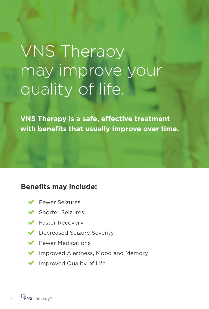# VNS Therapy may improve your quality of life.

**VNS Therapy is a safe, effective treatment with benefits that usually improve over time.** 

### **Benefits may include:**

- Fewer Seizures  $\blacktriangledown$
- Shorter Seizures  $\blacktriangledown$
- ◆ Faster Recovery
- Decreased Seizure Severity  $\blacktriangledown$
- Fewer Medications  $\blacktriangledown$
- Improved Alertness, Mood and Memory  $\blacktriangledown$
- Improved Quality of Life  $\blacktriangledown$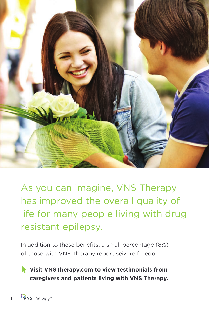

As you can imagine, VNS Therapy has improved the overall quality of life for many people living with drug resistant epilepsy.

In addition to these benefits, a small percentage (8%) of those with VNS Therapy report seizure freedom.

 **Visit VNSTherapy.com to view testimonials from caregivers and patients living with VNS Therapy.**

**5**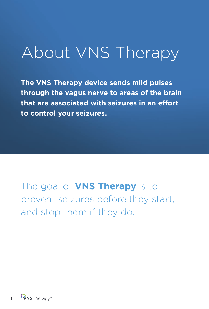## About VNS Therapy

**The VNS Therapy device sends mild pulses through the vagus nerve to areas of the brain that are associated with seizures in an effort to control your seizures.**

The goal of **VNS Therapy** is to prevent seizures before they start, and stop them if they do.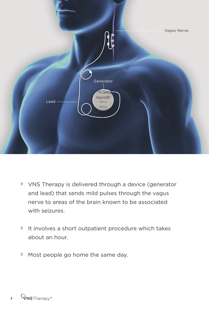

- VNS Therapy is delivered through a device (generator and lead) that sends mild pulses through the vagus nerve to areas of the brain known to be associated with seizures.
- It involves a short outpatient procedure which takes about an hour.
- > Most people go home the same day.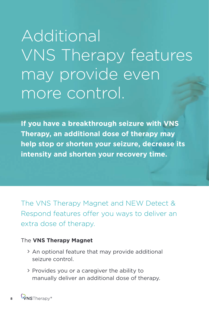# Additional VNS Therapy features may provide even more control.

**If you have a breakthrough seizure with VNS Therapy, an additional dose of therapy may help stop or shorten your seizure, decrease its intensity and shorten your recovery time.**

The VNS Therapy Magnet and NEW Detect & Respond features offer you ways to deliver an extra dose of therapy.

#### The **VNS Therapy Magnet**

- > An optional feature that may provide additional seizure control.
- Provides you or a caregiver the ability to manually deliver an additional dose of therapy.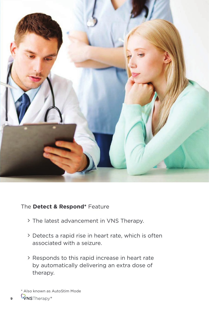

#### The **Detect & Respond\*** Feature

- The latest advancement in VNS Therapy.
- Detects a rapid rise in heart rate, which is often associated with a seizure.
- Responds to this rapid increase in heart rate by automatically delivering an extra dose of therapy.

**9**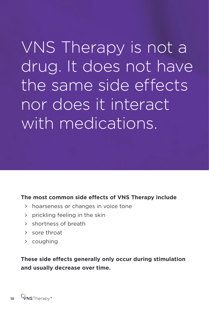VNS Therapy is not a drug. It does not have the same side effects nor does it interact with medications.

#### **The most common side effects of VNS Therapy include**

- hoarseness or changes in voice tone
- prickling feeling in the skin
- > shortness of breath
- sore throat
- coughing

**These side effects generally only occur during stimulation and usually decrease over time.**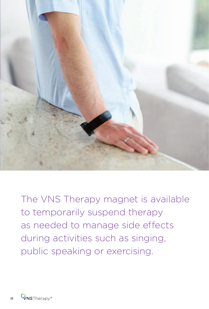

The VNS Therapy magnet is available to temporarily suspend therapy as needed to manage side effects during activities such as singing, public speaking or exercising.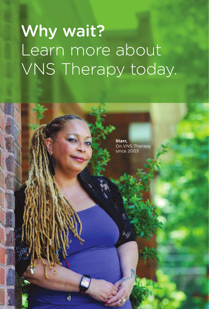# Why wait? Learn more about VNS Therapy today.

**12**

**J)** 

**Starr,**  On VNS Therapy since 2003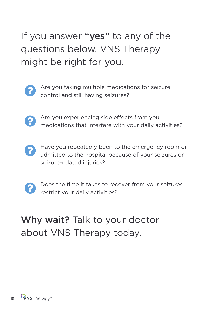### If you answer "yes" to any of the questions below, VNS Therapy might be right for you.



Are you taking multiple medications for seizure control and still having seizures?



Are you experiencing side effects from your medications that interfere with your daily activities?



Have you repeatedly been to the emergency room or admitted to the hospital because of your seizures or seizure-related injuries?



Does the time it takes to recover from your seizures restrict your daily activities?

### Why wait? Talk to your doctor about VNS Therapy today.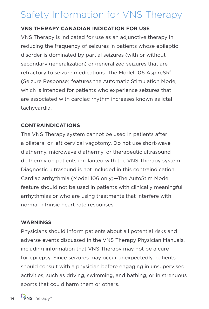### Safety Information for VNS Therapy

#### **VNS THERAPY CANADIAN INDICATION FOR USE**

VNS Therapy is indicated for use as an adjunctive therapy in reducing the frequency of seizures in patients whose epileptic disorder is dominated by partial seizures (with or without secondary generalization) or generalized seizures that are refractory to seizure medications. The Model 106 AspireSR<sup>®</sup> (Seizure Response) features the Automatic Stimulation Mode, which is intended for patients who experience seizures that are associated with cardiac rhythm increases known as ictal tachycardia.

#### **CONTRAINDICATIONS**

The VNS Therapy system cannot be used in patients after a bilateral or left cervical vagotomy. Do not use short-wave diathermy, microwave diathermy, or therapeutic ultrasound diathermy on patients implanted with the VNS Therapy system. Diagnostic ultrasound is not included in this contraindication. Cardiac arrhythmia (Model 106 only)—The AutoStim Mode feature should not be used in patients with clinically meaningful arrhythmias or who are using treatments that interfere with normal intrinsic heart rate responses.

#### **WARNINGS**

Physicians should inform patients about all potential risks and adverse events discussed in the VNS Therapy Physician Manuals, including information that VNS Therapy may not be a cure for epilepsy. Since seizures may occur unexpectedly, patients should consult with a physician before engaging in unsupervised activities, such as driving, swimming, and bathing, or in strenuous sports that could harm them or others.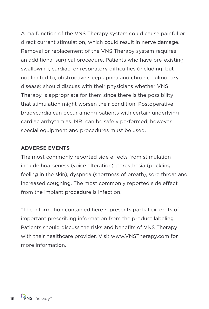A malfunction of the VNS Therapy system could cause painful or direct current stimulation, which could result in nerve damage. Removal or replacement of the VNS Therapy system requires an additional surgical procedure. Patients who have pre-existing swallowing, cardiac, or respiratory difficulties (including, but not limited to, obstructive sleep apnea and chronic pulmonary disease) should discuss with their physicians whether VNS Therapy is appropriate for them since there is the possibility that stimulation might worsen their condition. Postoperative bradycardia can occur among patients with certain underlying cardiac arrhythmias. MRI can be safely performed; however, special equipment and procedures must be used.

#### **ADVERSE EVENTS**

The most commonly reported side effects from stimulation include hoarseness (voice alteration), paresthesia (prickling feeling in the skin), dyspnea (shortness of breath), sore throat and increased coughing. The most commonly reported side effect from the implant procedure is infection.

\*The information contained here represents partial excerpts of important prescribing information from the product labeling. Patients should discuss the risks and benefits of VNS Therapy with their healthcare provider. Visit www.VNSTherapy.com for more information.